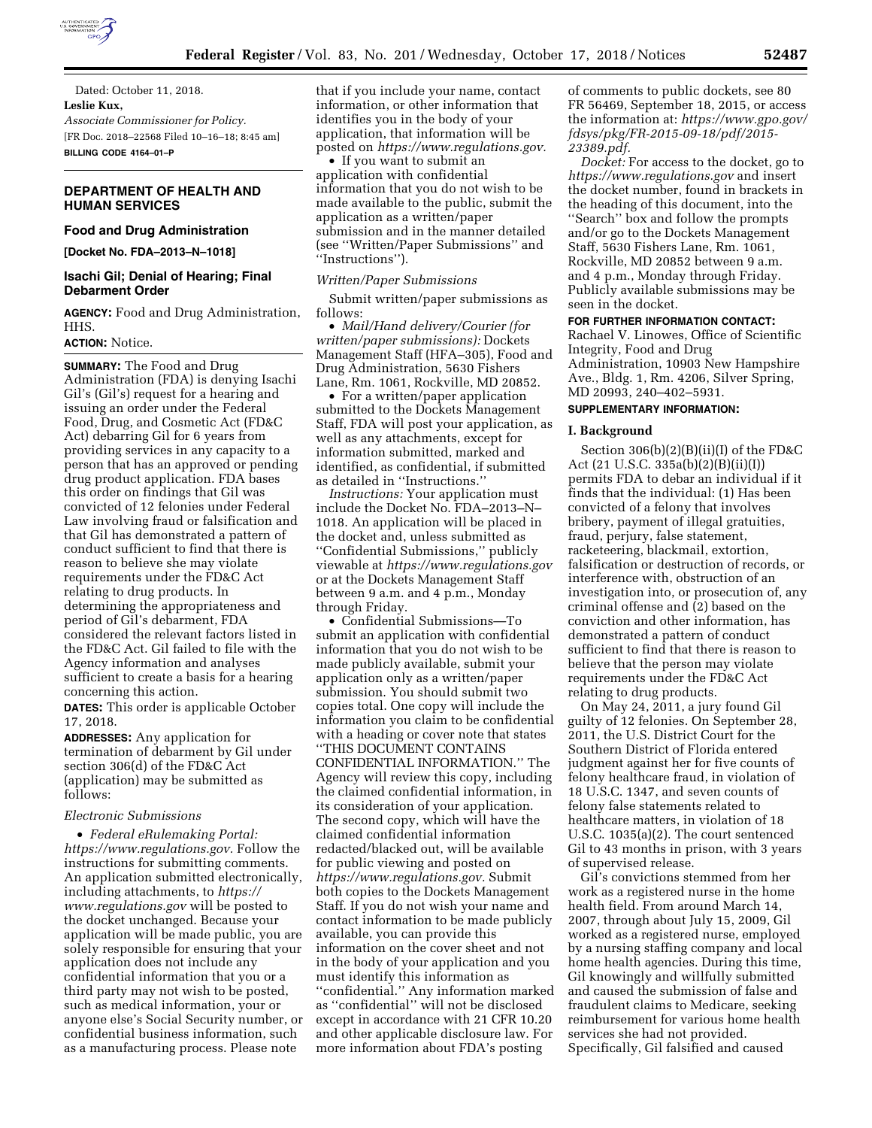

Dated: October 11, 2018. **Leslie Kux,**  *Associate Commissioner for Policy.*  [FR Doc. 2018–22568 Filed 10–16–18; 8:45 am] **BILLING CODE 4164–01–P** 

## **DEPARTMENT OF HEALTH AND HUMAN SERVICES**

# **Food and Drug Administration**

**[Docket No. FDA–2013–N–1018]** 

## **Isachi Gil; Denial of Hearing; Final Debarment Order**

**AGENCY:** Food and Drug Administration, HHS.

## **ACTION:** Notice.

**SUMMARY:** The Food and Drug Administration (FDA) is denying Isachi Gil's (Gil's) request for a hearing and issuing an order under the Federal Food, Drug, and Cosmetic Act (FD&C Act) debarring Gil for 6 years from providing services in any capacity to a person that has an approved or pending drug product application. FDA bases this order on findings that Gil was convicted of 12 felonies under Federal Law involving fraud or falsification and that Gil has demonstrated a pattern of conduct sufficient to find that there is reason to believe she may violate requirements under the FD&C Act relating to drug products. In determining the appropriateness and period of Gil's debarment, FDA considered the relevant factors listed in the FD&C Act. Gil failed to file with the Agency information and analyses sufficient to create a basis for a hearing concerning this action.

**DATES:** This order is applicable October 17, 2018.

**ADDRESSES:** Any application for termination of debarment by Gil under section 306(d) of the FD&C Act (application) may be submitted as follows:

#### *Electronic Submissions*

• *Federal eRulemaking Portal: [https://www.regulations.gov.](https://www.regulations.gov)* Follow the instructions for submitting comments. An application submitted electronically, including attachments, to *[https://](https://www.regulations.gov) [www.regulations.gov](https://www.regulations.gov)* will be posted to the docket unchanged. Because your application will be made public, you are solely responsible for ensuring that your application does not include any confidential information that you or a third party may not wish to be posted, such as medical information, your or anyone else's Social Security number, or confidential business information, such as a manufacturing process. Please note

that if you include your name, contact information, or other information that identifies you in the body of your application, that information will be posted on *[https://www.regulations.gov.](https://www.regulations.gov)* 

• If you want to submit an application with confidential information that you do not wish to be made available to the public, submit the application as a written/paper submission and in the manner detailed (see ''Written/Paper Submissions'' and ''Instructions'').

#### *Written/Paper Submissions*

Submit written/paper submissions as follows:

• *Mail/Hand delivery/Courier (for written/paper submissions):* Dockets Management Staff (HFA–305), Food and Drug Administration, 5630 Fishers Lane, Rm. 1061, Rockville, MD 20852.

• For a written/paper application submitted to the Dockets Management Staff, FDA will post your application, as well as any attachments, except for information submitted, marked and identified, as confidential, if submitted as detailed in ''Instructions.''

*Instructions:* Your application must include the Docket No. FDA–2013–N– 1018. An application will be placed in the docket and, unless submitted as ''Confidential Submissions,'' publicly viewable at *<https://www.regulations.gov>* or at the Dockets Management Staff between 9 a.m. and 4 p.m., Monday through Friday.

• Confidential Submissions—To submit an application with confidential information that you do not wish to be made publicly available, submit your application only as a written/paper submission. You should submit two copies total. One copy will include the information you claim to be confidential with a heading or cover note that states ''THIS DOCUMENT CONTAINS CONFIDENTIAL INFORMATION.'' The Agency will review this copy, including the claimed confidential information, in its consideration of your application. The second copy, which will have the claimed confidential information redacted/blacked out, will be available for public viewing and posted on *[https://www.regulations.gov.](https://www.regulations.gov)* Submit both copies to the Dockets Management Staff. If you do not wish your name and contact information to be made publicly available, you can provide this information on the cover sheet and not in the body of your application and you must identify this information as ''confidential.'' Any information marked as ''confidential'' will not be disclosed except in accordance with 21 CFR 10.20 and other applicable disclosure law. For more information about FDA's posting

of comments to public dockets, see 80 FR 56469, September 18, 2015, or access the information at: *[https://www.gpo.gov/](https://www.gpo.gov/fdsys/pkg/FR-2015-09-18/pdf/2015-23389.pdf) [fdsys/pkg/FR-2015-09-18/pdf/2015-](https://www.gpo.gov/fdsys/pkg/FR-2015-09-18/pdf/2015-23389.pdf)  [23389.pdf.](https://www.gpo.gov/fdsys/pkg/FR-2015-09-18/pdf/2015-23389.pdf)* 

*Docket:* For access to the docket, go to *<https://www.regulations.gov>* and insert the docket number, found in brackets in the heading of this document, into the ''Search'' box and follow the prompts and/or go to the Dockets Management Staff, 5630 Fishers Lane, Rm. 1061, Rockville, MD 20852 between 9 a.m. and 4 p.m., Monday through Friday. Publicly available submissions may be seen in the docket.

#### **FOR FURTHER INFORMATION CONTACT:**

Rachael V. Linowes, Office of Scientific Integrity, Food and Drug Administration, 10903 New Hampshire Ave., Bldg. 1, Rm. 4206, Silver Spring, MD 20993, 240–402–5931.

## **SUPPLEMENTARY INFORMATION:**

#### **I. Background**

Section 306(b)(2)(B)(ii)(I) of the FD&C Act (21 U.S.C. 335a(b)(2)(B)(ii)(I)) permits FDA to debar an individual if it finds that the individual: (1) Has been convicted of a felony that involves bribery, payment of illegal gratuities, fraud, perjury, false statement, racketeering, blackmail, extortion, falsification or destruction of records, or interference with, obstruction of an investigation into, or prosecution of, any criminal offense and (2) based on the conviction and other information, has demonstrated a pattern of conduct sufficient to find that there is reason to believe that the person may violate requirements under the FD&C Act relating to drug products.

On May 24, 2011, a jury found Gil guilty of 12 felonies. On September 28, 2011, the U.S. District Court for the Southern District of Florida entered judgment against her for five counts of felony healthcare fraud, in violation of 18 U.S.C. 1347, and seven counts of felony false statements related to healthcare matters, in violation of 18 U.S.C. 1035(a)(2). The court sentenced Gil to 43 months in prison, with 3 years of supervised release.

Gil's convictions stemmed from her work as a registered nurse in the home health field. From around March 14, 2007, through about July 15, 2009, Gil worked as a registered nurse, employed by a nursing staffing company and local home health agencies. During this time, Gil knowingly and willfully submitted and caused the submission of false and fraudulent claims to Medicare, seeking reimbursement for various home health services she had not provided. Specifically, Gil falsified and caused